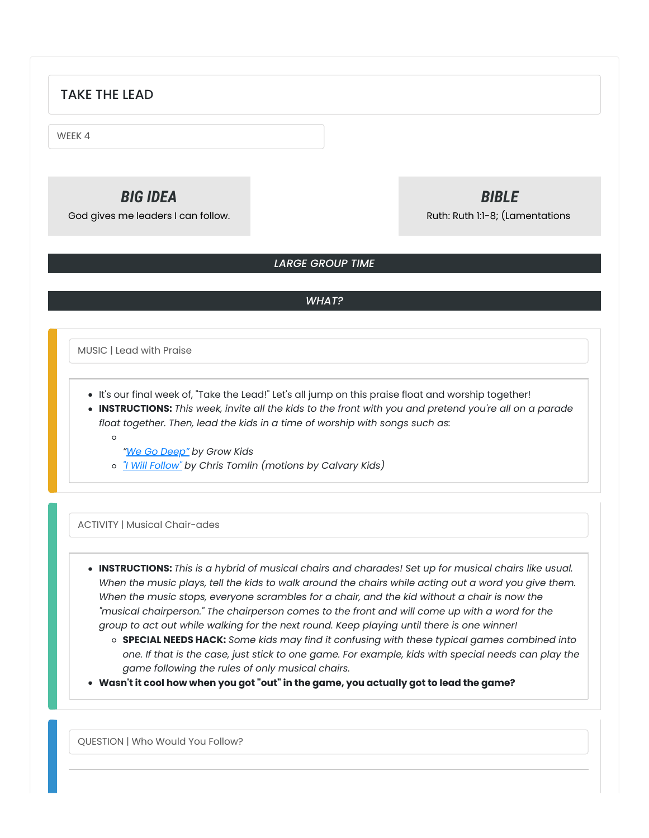# TAKE THE LEAD

WEEK 4

# *BIG IDEA*

God gives me leaders I can follow.

# *BIBLE*

Ruth: Ruth 1:1-8; (Lamentations

# *LARGE GROUP TIME*

# *WHAT?*

MUSIC | Lead with Praise

- It's our final week of, "Take the Lead!" Let's all jump on this praise float and worship together!
- INSTRUCTIONS: This week, invite all the kids to the front with you and pretend you're all on a parade *float together. Then, lead the kids in a time of worship with songs such as:*
	- $\Omega$
- *"We Go [Deep"](https://www.youtube.com/watch?v=hDiDtp88oU0) by Grow Kids*
- *"I Will [Follow"](https://youtu.be/d8Chv0QmRjk) by Chris Tomlin (motions by Calvary Kids)*

# ACTIVITY | Musical Chair-ades

- **INSTRUCTIONS:** *This is a hybrid of musical chairs and charades! Set up for musical chairs like usual.* When the music plays, tell the kids to walk around the chairs while acting out a word you give them. *When the music stops, everyone scrambles for a chair, and the kid without a chair is now the "musical chairperson." The chairperson comes to the front and will come up with a word for the group to act out while walking for the next round. Keep playing until there is one winner!*
	- **SPECIAL NEEDS HACK:** *Some kids may find it confusing with these typical games combined into* one. If that is the case, just stick to one game. For example, kids with special needs can play the *game following the rules of only musical chairs.*
- **Wasn't it cool how when you got "out" in the game, you actually got to lead the game?**

QUESTION | Who Would You Follow?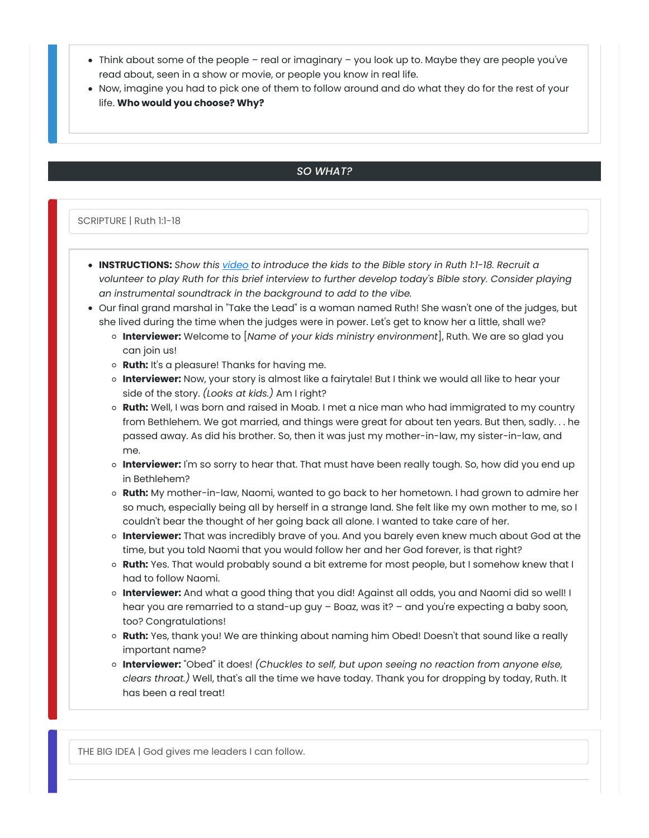- Think about some of the people real or imaginary you look up to. Maybe they are people you've read about, seen in a show or movie, or people you know in real life.
- Now, imagine you had to pick one of them to follow around and do what they do for the rest of your life. **Who would you choose? Why?**

# *SO WHAT?*

#### SCRIPTURE | Ruth 1:1-18

- **INSTRUCTIONS:** *Show this [video](https://youtu.be/pyr3AyI7zVY) to introduce the kids to the Bible story in Ruth 1:1-18. Recruit a volunteer to play Ruth for this brief interview to further develop today's Bible story. Consider playing an instrumental soundtrack in the background to add to the vibe.*
- Our final grand marshal in "Take the Lead" is a woman named Ruth! She wasn't one of the judges, but she lived during the time when the judges were in power. Let's get to know her a little, shall we?
	- **Interviewer:** Welcome to [*Name of your kids ministry environment*], Ruth. We are so glad you can join us!
	- **Ruth:** It's a pleasure! Thanks for having me.
	- **Interviewer:** Now, your story is almost like a fairytale! But I think we would all like to hear your side of the story. *(Looks at kids.)* Am I right?
	- **Ruth:** Well, I was born and raised in Moab. I met a nice man who had immigrated to my country from Bethlehem. We got married, and things were great for about ten years. But then, sadly. . . he passed away. As did his brother. So, then it was just my mother-in-law, my sister-in-law, and me.
	- **Interviewer:** I'm so sorry to hear that. That must have been really tough. So, how did you end up in Bethlehem?
	- **Ruth:** My mother-in-law, Naomi, wanted to go back to her hometown. I had grown to admire her so much, especially being all by herself in a strange land. She felt like my own mother to me, so I couldn't bear the thought of her going back all alone. I wanted to take care of her.
	- **Interviewer:** That was incredibly brave of you. And you barely even knew much about God at the time, but you told Naomi that you would follow her and her God forever, is that right?
	- **Ruth:** Yes. That would probably sound a bit extreme for most people, but I somehow knew that I had to follow Naomi.
	- **Interviewer:** And what a good thing that you did! Against all odds, you and Naomi did so well! I hear you are remarried to a stand-up guy - Boaz, was it? - and you're expecting a baby soon, too? Congratulations!
	- **Ruth:** Yes, thank you! We are thinking about naming him Obed! Doesn't that sound like a really important name?
	- **Interviewer:** "Obed" it does! *(Chuckles to self, but upon seeing no reaction from anyone else, clears throat.)* Well, that's all the time we have today. Thank you for dropping by today, Ruth. It has been a real treat!

THE BIG IDEA | God gives me leaders I can follow.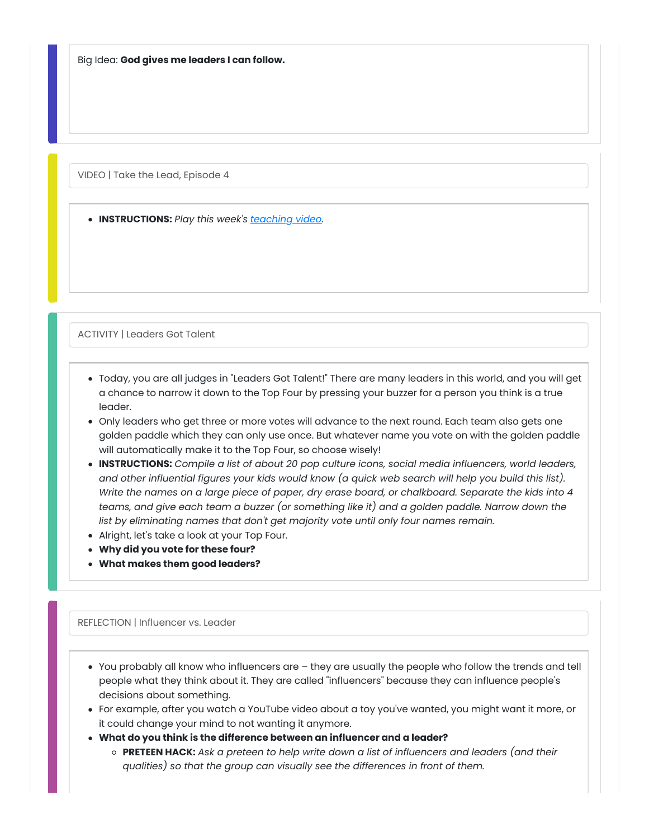Big Idea: **God gives me leaders I can follow.**

VIDEO | Take the Lead, Episode 4

**INSTRUCTIONS:** *Play this week's [teaching](http://growcurriculum.org/ElementaryTeachingVideosV4) video.*

ACTIVITY | Leaders Got Talent

- Today, you are all judges in "Leaders Got Talent!" There are many leaders in this world, and you will get a chance to narrow it down to the Top Four by pressing your buzzer for a person you think is a true leader.
- Only leaders who get three or more votes will advance to the next round. Each team also gets one golden paddle which they can only use once. But whatever name you vote on with the golden paddle will automatically make it to the Top Four, so choose wisely!
- **INSTRUCTIONS:** *Compile a list of about 20 pop culture icons, social media influencers, world leaders,* and other influential figures your kids would know (a quick web search will help you build this list). Write the names on a large piece of paper, dry erase board, or chalkboard. Separate the kids into 4 *teams, and give each team a buzzer (or something like it) and a golden paddle. Narrow down the list by eliminating names that don't get majority vote until only four names remain.*
- Alright, let's take a look at your Top Four.
- **Why did you vote for these four?**
- **What makes them good leaders?**

#### REFLECTION | Influencer vs. Leader

- You probably all know who influencers are they are usually the people who follow the trends and tell people what they think about it. They are called "influencers" because they can influence people's decisions about something.
- For example, after you watch a YouTube video about a toy you've wanted, you might want it more, or it could change your mind to not wanting it anymore.
- **What do you think is the difference between an influencer and a leader?**
	- **PRETEEN HACK:** *Ask a preteen to help write down a list of influencers and leaders (and their qualities) so that the group can visually see the differences in front of them.*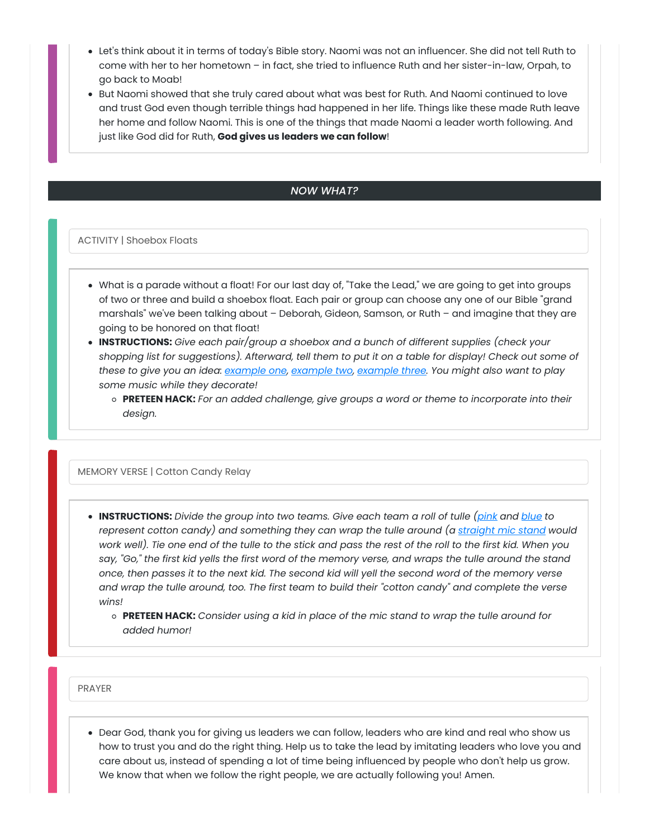- Let's think about it in terms of today's Bible story. Naomi was not an influencer. She did not tell Ruth to come with her to her hometown – in fact, she tried to influence Ruth and her sister-in-law, Orpah, to go back to Moab!
- But Naomi showed that she truly cared about what was best for Ruth. And Naomi continued to love and trust God even though terrible things had happened in her life. Things like these made Ruth leave her home and follow Naomi. This is one of the things that made Naomi a leader worth following. And just like God did for Ruth, **God gives us leaders we can follow**!

#### *NOW WHAT?*

ACTIVITY | Shoebox Floats

- What is a parade without a float! For our last day of, "Take the Lead," we are going to get into groups of two or three and build a shoebox float. Each pair or group can choose any one of our Bible "grand marshals" we've been talking about – Deborah, Gideon, Samson, or Ruth – and imagine that they are going to be honored on that float!
- **INSTRUCTIONS:** *Give each pair/group a shoebox and a bunch of different supplies (check your* shopping list for suggestions). Afterward, tell them to put it on a table for display! Check out some of *these to give you an idea: [example](https://2.bp.blogspot.com/-gXD-wVsQeGU/URGK3_desOI/AAAAAAAADzw/ZS-AvmmYETo/s1600/mardi+gras+float+11.jpg) one, [example](https://i.pinimg.com/originals/18/38/06/183806ee81cbc0c047ae3a351c50a571.jpg) two, [example](https://i.pinimg.com/originals/62/d2/20/62d2207a0d0097d4eec1bf703575042e.jpg) three. You might also want to play some music while they decorate!*
	- **PRETEEN HACK:** *For an added challenge, give groups a word or theme to incorporate into their design.*

#### MEMORY VERSE | Cotton Candy Relay

- **INSTRUCTIONS:** *Divide the group into two teams. Give each team a roll of tulle [\(pink](https://amzn.to/3boM6kq) and [blue](https://amzn.to/2KosSzr) to represent cotton candy) and something they can wrap the tulle around (a [straight](https://amzn.to/3exB0f7) mic stand would* work well). Tie one end of the tulle to the stick and pass the rest of the roll to the first kid. When you say, "Go," the first kid yells the first word of the memory verse, and wraps the tulle around the stand once, then passes it to the next kid. The second kid will yell the second word of the memory verse and wrap the tulle around, too. The first team to build their "cotton candy" and complete the verse *wins!*
	- **PRETEEN HACK:** *Consider using a kid in place of the mic stand to wrap the tulle around for added humor!*

PRAYER

Dear God, thank you for giving us leaders we can follow, leaders who are kind and real who show us how to trust you and do the right thing. Help us to take the lead by imitating leaders who love you and care about us, instead of spending a lot of time being influenced by people who don't help us grow. We know that when we follow the right people, we are actually following you! Amen.